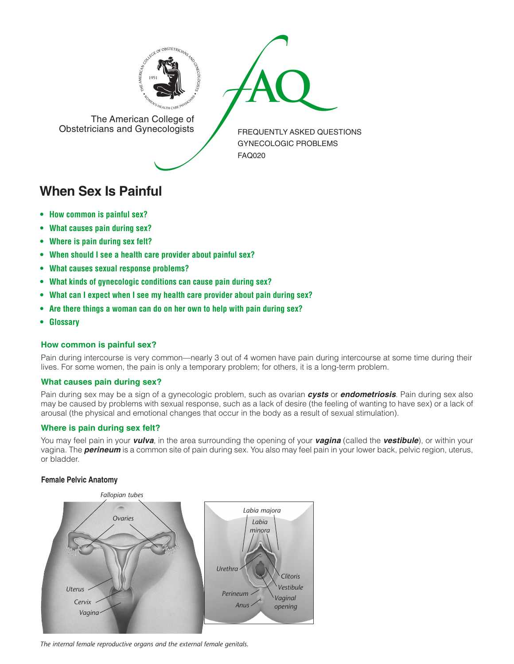



The American College of<br>Obstetricians and Gynecologists

FREQUENTLY ASKED QUESTIONS GYNECOLOGIC PROBLEMS FAQ020

# **When Sex Is Painful**

- **[How common is painful sex?](#page-0-0)**
- **[What causes pain during sex?](#page-0-1)**
- **[Where is pain during sex felt?](#page-0-2)**
- **[When should I see a health care provider about painful sex?](#page-1-0)**
- **[What causes sexual response problems?](#page-1-1)**
- **[What kinds of gynecologic conditions can cause pain during sex?](#page-1-2)**
- **[What can I expect when I see my health care provider about pain during sex?](#page-1-3)**
- **[Are there things a woman can do on her own to help with pain during sex?](#page-1-4)**
- **[Glossary](#page-2-0)**

# <span id="page-0-0"></span>**How common is painful sex?**

Pain during intercourse is very common—nearly 3 out of 4 women have pain during intercourse at some time during their lives. For some women, the pain is only a temporary problem; for others, it is a long-term problem.

# <span id="page-0-1"></span>**What causes pain during sex?**

Pain during sex may be a sign of a gynecologic problem, such as ovarian *cysts* or *endometriosis*. Pain during sex also may be caused by problems with sexual response, such as a lack of desire (the feeling of wanting to have sex) or a lack of arousal (the physical and emotional changes that occur in the body as a result of sexual stimulation).

# <span id="page-0-2"></span>**Where is pain during sex felt?**

You may feel pain in your *vulva*, in the area surrounding the opening of your *vagina* (called the *vestibule*), or within your vagina. The *perineum* is a common site of pain during sex. You also may feel pain in your lower back, pelvic region, uterus, or bladder.

# **Female Pelvic Anatomy**



*The internal female reproductive organs and the external female genitals.*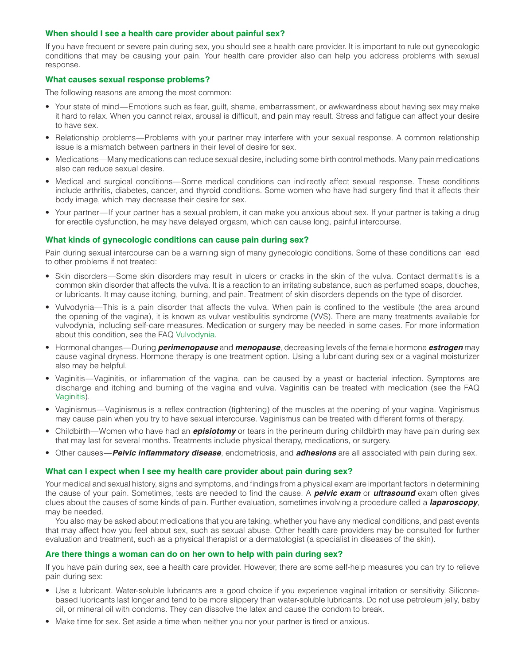### <span id="page-1-0"></span>**When should I see a health care provider about painful sex?**

If you have frequent or severe pain during sex, you should see a health care provider. It is important to rule out gynecologic conditions that may be causing your pain. Your health care provider also can help you address problems with sexual response.

### <span id="page-1-1"></span>**What causes sexual response problems?**

The following reasons are among the most common:

- Your state of mind—Emotions such as fear, guilt, shame, embarrassment, or awkwardness about having sex may make it hard to relax. When you cannot relax, arousal is difficult, and pain may result. Stress and fatigue can affect your desire to have sex.
- Relationship problems—Problems with your partner may interfere with your sexual response. A common relationship issue is a mismatch between partners in their level of desire for sex.
- Medications—Many medications can reduce sexual desire, including some birth control methods. Many pain medications also can reduce sexual desire.
- Medical and surgical conditions—Some medical conditions can indirectly affect sexual response. These conditions include arthritis, diabetes, cancer, and thyroid conditions. Some women who have had surgery find that it affects their body image, which may decrease their desire for sex.
- Your partner—If your partner has a sexual problem, it can make you anxious about sex. If your partner is taking a drug for erectile dysfunction, he may have delayed orgasm, which can cause long, painful intercourse.

#### <span id="page-1-2"></span>**What kinds of gynecologic conditions can cause pain during sex?**

Pain during sexual intercourse can be a warning sign of many gynecologic conditions. Some of these conditions can lead to other problems if not treated:

- Skin disorders—Some skin disorders may result in ulcers or cracks in the skin of the vulva. Contact dermatitis is a common skin disorder that affects the vulva. It is a reaction to an irritating substance, such as perfumed soaps, douches, or lubricants. It may cause itching, burning, and pain. Treatment of skin disorders depends on the type of disorder.
- Vulvodynia—This is a pain disorder that affects the vulva. When pain is confined to the vestibule (the area around the opening of the vagina), it is known as vulvar vestibulitis syndrome (VVS). There are many treatments available for vulvodynia, including self-care measures. Medication or surgery may be needed in some cases. For more information about this condition, see the FAQ [Vulvodynia.](http://www.acog.org/publications/faq/faq127.cfm)
- Hormonal changes—During *perimenopause* and *menopause*, decreasing levels of the female hormone *estrogen* may cause vaginal dryness. Hormone therapy is one treatment option. Using a lubricant during sex or a vaginal moisturizer also may be helpful.
- Vaginitis—Vaginitis, or inflammation of the vagina, can be caused by a yeast or bacterial infection. Symptoms are discharge and itching and burning of the vagina and vulva. Vaginitis can be treated with medication (see the FAQ [Vaginitis](http://www.acog.org/publications/faq/faq028.cfm)).
- Vaginismus—Vaginismus is a reflex contraction (tightening) of the muscles at the opening of your vagina. Vaginismus may cause pain when you try to have sexual intercourse. Vaginismus can be treated with different forms of therapy.
- Childbirth—Women who have had an *episiotomy* or tears in the perineum during childbirth may have pain during sex that may last for several months. Treatments include physical therapy, medications, or surgery.
- Other causes—*Pelvic inflammatory disease*, endometriosis, and *adhesions* are all associated with pain during sex.

#### <span id="page-1-3"></span>**What can I expect when I see my health care provider about pain during sex?**

Your medical and sexual history, signs and symptoms, and findings from a physical exam are important factors in determining the cause of your pain. Sometimes, tests are needed to find the cause. A *pelvic exam* or *ultrasound* exam often gives clues about the causes of some kinds of pain. Further evaluation, sometimes involving a procedure called a *laparoscopy*, may be needed.

You also may be asked about medications that you are taking, whether you have any medical conditions, and past events that may affect how you feel about sex, such as sexual abuse. Other health care providers may be consulted for further evaluation and treatment, such as a physical therapist or a dermatologist (a specialist in diseases of the skin).

# <span id="page-1-4"></span>**Are there things a woman can do on her own to help with pain during sex?**

If you have pain during sex, see a health care provider. However, there are some self-help measures you can try to relieve pain during sex:

- Use a lubricant. Water-soluble lubricants are a good choice if you experience vaginal irritation or sensitivity. Siliconebased lubricants last longer and tend to be more slippery than water-soluble lubricants. Do not use petroleum jelly, baby oil, or mineral oil with condoms. They can dissolve the latex and cause the condom to break.
- Make time for sex. Set aside a time when neither you nor your partner is tired or anxious.